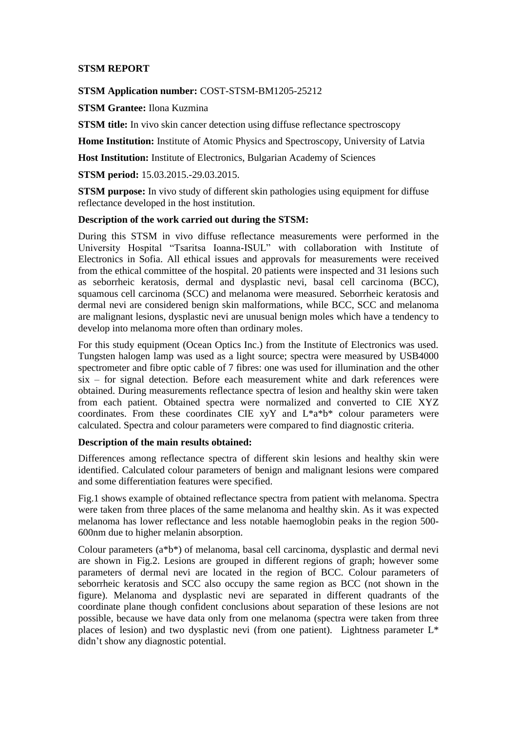## **STSM REPORT**

### **STSM Application number:** COST-STSM-BM1205-25212

**STSM Grantee:** Ilona Kuzmina

**STSM title:** In vivo skin cancer detection using diffuse reflectance spectroscopy

**Home Institution:** Institute of Atomic Physics and Spectroscopy, University of Latvia

**Host Institution:** Institute of Electronics, Bulgarian Academy of Sciences

**STSM period:** 15.03.2015.-29.03.2015.

**STSM purpose:** In vivo study of different skin pathologies using equipment for diffuse reflectance developed in the host institution.

### **Description of the work carried out during the STSM:**

During this STSM in vivo diffuse reflectance measurements were performed in the University Hospital "Tsaritsa Ioanna-ISUL" with collaboration with Institute of Electronics in Sofia. All ethical issues and approvals for measurements were received from the ethical committee of the hospital. 20 patients were inspected and 31 lesions such as seborrheic keratosis, dermal and dysplastic nevi, basal cell carcinoma (BCC), squamous cell carcinoma (SCC) and melanoma were measured. Seborrheic keratosis and dermal nevi are considered benign skin malformations, while BCC, SCC and melanoma are malignant lesions, dysplastic nevi are unusual benign moles which have a tendency to develop into melanoma more often than ordinary moles.

For this study equipment (Ocean Optics Inc.) from the Institute of Electronics was used. Tungsten halogen lamp was used as a light source; spectra were measured by USB4000 spectrometer and fibre optic cable of 7 fibres: one was used for illumination and the other six – for signal detection. Before each measurement white and dark references were obtained. During measurements reflectance spectra of lesion and healthy skin were taken from each patient. Obtained spectra were normalized and converted to CIE XYZ coordinates. From these coordinates CIE xyY and L\*a\*b\* colour parameters were calculated. Spectra and colour parameters were compared to find diagnostic criteria.

## **Description of the main results obtained:**

Differences among reflectance spectra of different skin lesions and healthy skin were identified. Calculated colour parameters of benign and malignant lesions were compared and some differentiation features were specified.

Fig.1 shows example of obtained reflectance spectra from patient with melanoma. Spectra were taken from three places of the same melanoma and healthy skin. As it was expected melanoma has lower reflectance and less notable haemoglobin peaks in the region 500- 600nm due to higher melanin absorption.

Colour parameters (a\*b\*) of melanoma, basal cell carcinoma, dysplastic and dermal nevi are shown in Fig.2. Lesions are grouped in different regions of graph; however some parameters of dermal nevi are located in the region of BCC. Colour parameters of seborrheic keratosis and SCC also occupy the same region as BCC (not shown in the figure). Melanoma and dysplastic nevi are separated in different quadrants of the coordinate plane though confident conclusions about separation of these lesions are not possible, because we have data only from one melanoma (spectra were taken from three places of lesion) and two dysplastic nevi (from one patient). Lightness parameter L\* didn't show any diagnostic potential.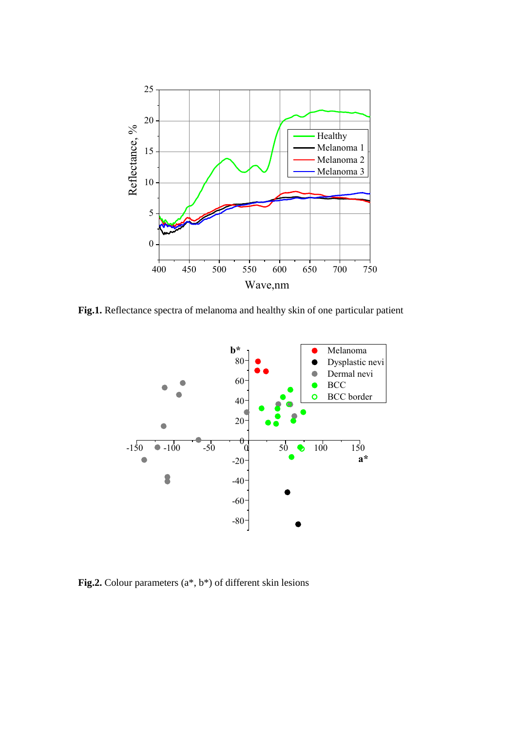

**Fig.1.** Reflectance spectra of melanoma and healthy skin of one particular patient



**Fig.2.** Colour parameters (a\*, b\*) of different skin lesions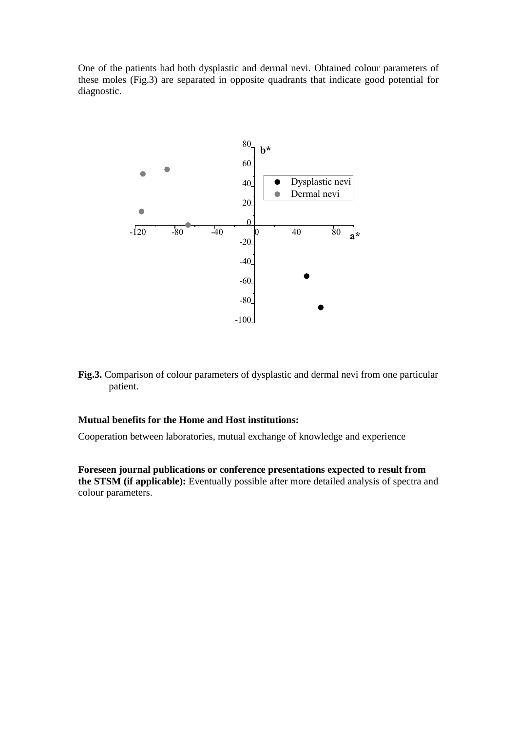One of the patients had both dysplastic and dermal nevi. Obtained colour parameters of these moles (Fig.3) are separated in opposite quadrants that indicate good potential for diagnostic.



**Fig.3.** Comparison of colour parameters of dysplastic and dermal nevi from one particular patient.

#### **Mutual benefits for the Home and Host institutions:**

Cooperation between laboratories, mutual exchange of knowledge and experience

**Foreseen journal publications or conference presentations expected to result from the STSM (if applicable):** Eventually possible after more detailed analysis of spectra and colour parameters.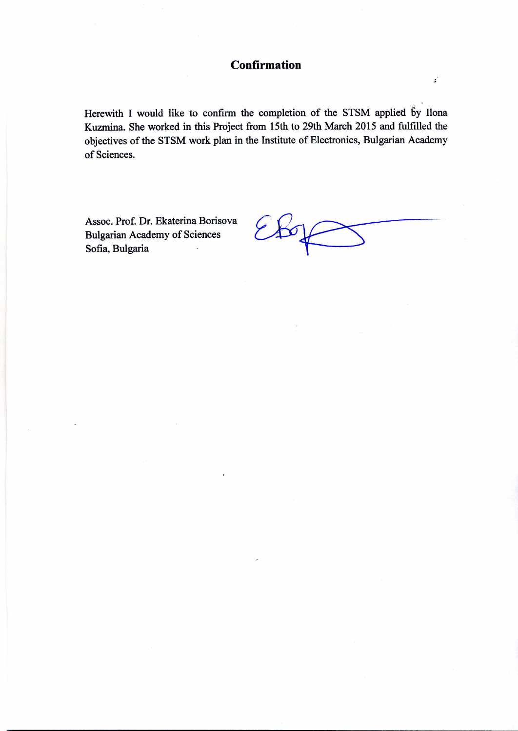# Confirmation

Herewith I would like to confirm the completion of the STSM applied by Ilona Kuzmina. She worked in this Project from l5th to 29th March 2015 and fulfilled the objectives of the STSM work plan in the Institute of Electronics, Bulgarian Academy of Sciences.

Assoc. Prof. Dr. Ekaterina Borisova Bulgarian Academy of Sciences Sofia, Bulgaria

;'